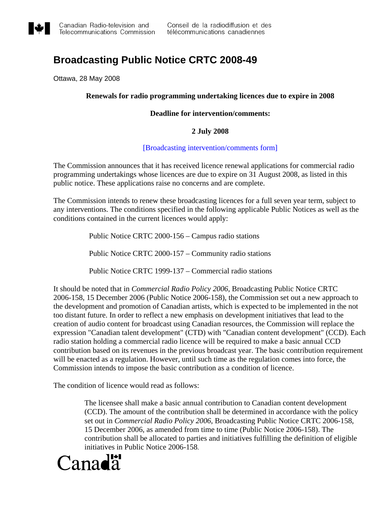

# **Broadcasting Public Notice CRTC 2008-49**

Ottawa, 28 May 2008

# **Renewals for radio programming undertaking licences due to expire in 2008**

# **Deadline for intervention/comments:**

# **2 July 2008**

### [\[Broadcasting intervention/comments form\]](http://support.crtc.gc.ca/rapidscin/default.aspx?lang=en&applicant=)

The Commission announces that it has received licence renewal applications for commercial radio programming undertakings whose licences are due to expire on 31 August 2008, as listed in this public notice. These applications raise no concerns and are complete.

The Commission intends to renew these broadcasting licences for a full seven year term, subject to any interventions. The conditions specified in the following applicable Public Notices as well as the conditions contained in the current licences would apply:

Public Notice CRTC 2000-156 – Campus radio stations

Public Notice CRTC 2000-157 – Community radio stations

Public Notice CRTC 1999-137 – Commercial radio stations

It should be noted that in *Commercial Radio Policy 2006*, Broadcasting Public Notice CRTC [2006-158,](http://www.crtc.gc.ca/archive/ENG/Notices/2006/pb2006-158.htm) 15 December 2006 (Public Notice [2006-158\)](http://www.crtc.gc.ca/archive/ENG/Notices/2006/pb2006-158.htm), the Commission set out a new approach to the development and promotion of Canadian artists, which is expected to be implemented in the not too distant future. In order to reflect a new emphasis on development initiatives that lead to the creation of audio content for broadcast using Canadian resources, the Commission will replace the expression "Canadian talent development" (CTD) with "Canadian content development" (CCD). Each radio station holding a commercial radio licence will be required to make a basic annual CCD contribution based on its revenues in the previous broadcast year. The basic contribution requirement will be enacted as a regulation. However, until such time as the regulation comes into force, the Commission intends to impose the basic contribution as a condition of licence.

The condition of licence would read as follows:

The licensee shall make a basic annual contribution to Canadian content development (CCD). The amount of the contribution shall be determined in accordance with the policy set out in *Commercial Radio Policy 2006*, Broadcasting Public Notice CRTC 2006-158, 15 December 2006, as amended from time to time (Public Notice 2006-158). The contribution shall be allocated to parties and initiatives fulfilling the definition of eligible initiatives in Public Notice 2006-158.

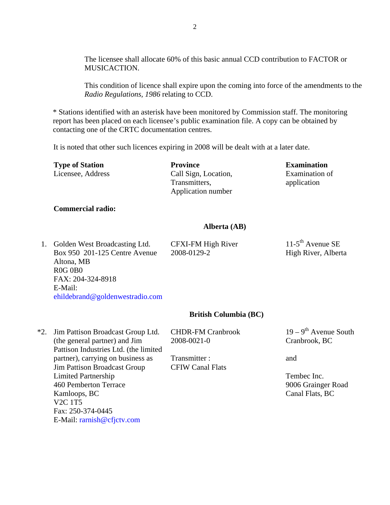The licensee shall allocate 60% of this basic annual CCD contribution to FACTOR or MUSICACTION.

This condition of licence shall expire upon the coming into force of the amendments to the *Radio Regulations, 1986* relating to CCD.

\* Stations identified with an asterisk have been monitored by Commission staff. The monitoring report has been placed on each licensee's public examination file. A copy can be obtained by contacting one of the CRTC documentation centres.

It is noted that other such licences expiring in 2008 will be dealt with at a later date.

| <b>Type of Station</b> | <b>Province</b>                                             | <b>Examination</b>            |
|------------------------|-------------------------------------------------------------|-------------------------------|
| Licensee, Address      | Call Sign, Location,<br>Transmitters.<br>Application number | Examination of<br>application |
|                        |                                                             |                               |

# **Commercial radio:**

### **Alberta (AB)**

1. Golden West Broadcasting Ltd. Box 950 201-125 Centre Avenue Altona, MB R0G 0B0 FAX: 204-324-8918 E-Mail: [ehildebrand@goldenwestradio.com](mailto:ehildebrand@goldenwestradio.com) CFXI-FM High River 2008-0129-2

 $11-5$ <sup>th</sup> Avenue SE High River, Alberta

#### **British Columbia (BC)**

\*2. Jim Pattison Broadcast Group Ltd. (the general partner) and Jim Pattison Industries Ltd. (the limited partner), carrying on business as Jim Pattison Broadcast Group Limited Partnership 460 Pemberton Terrace Kamloops, BC V2C 1T5 Fax: 250-374-0445 E-Mail: [rarnish@cfjctv.com](mailto:rarnish@cfjctv.com)

CHDR-FM Cranbrook 2008-0021-0

Transmitter : CFIW Canal Flats

 $19 - 9$ <sup>th</sup> Avenue South Cranbrook, BC

and

Tembec Inc. 9006 Grainger Road Canal Flats, BC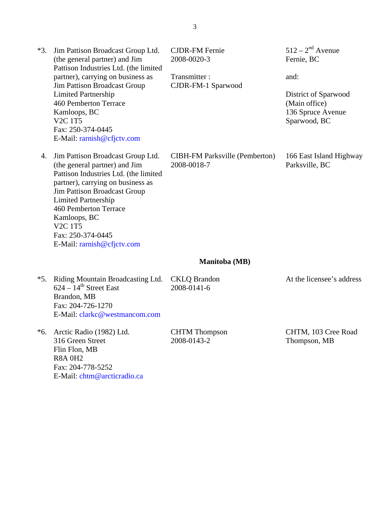| *3.   | Jim Pattison Broadcast Group Ltd.<br>(the general partner) and Jim<br>Pattison Industries Ltd. (the limited<br>partner), carrying on business as<br>Jim Pattison Broadcast Group<br><b>Limited Partnership</b><br>460 Pemberton Terrace<br>Kamloops, BC<br><b>V2C 1T5</b><br>Fax: 250-374-0445<br>E-Mail: rarnish@cfjctv.com | <b>CJDR-FM Fernie</b><br>2008-0020-3<br>Transmitter:<br>CJDR-FM-1 Sparwood | $512 - 2nd$ Avenue<br>Fernie, BC<br>and:<br>District of Sparwood<br>(Main office)<br>136 Spruce Avenue<br>Sparwood, BC |
|-------|------------------------------------------------------------------------------------------------------------------------------------------------------------------------------------------------------------------------------------------------------------------------------------------------------------------------------|----------------------------------------------------------------------------|------------------------------------------------------------------------------------------------------------------------|
| 4.    | Jim Pattison Broadcast Group Ltd.<br>(the general partner) and Jim<br>Pattison Industries Ltd. (the limited<br>partner), carrying on business as<br>Jim Pattison Broadcast Group<br><b>Limited Partnership</b><br>460 Pemberton Terrace<br>Kamloops, BC<br><b>V2C 1T5</b><br>Fax: 250-374-0445<br>E-Mail: rarnish@cfjctv.com | <b>CIBH-FM Parksville (Pemberton)</b><br>2008-0018-7                       | 166 East Island Highway<br>Parksville, BC                                                                              |
|       |                                                                                                                                                                                                                                                                                                                              | Manitoba (MB)                                                              |                                                                                                                        |
| $*5.$ | Riding Mountain Broadcasting Ltd.<br>$624 - 14$ <sup>th</sup> Street East<br>Brandon, MB<br>Fax: 204-726-1270<br>E-Mail: clarkc@westmancom.com                                                                                                                                                                               | <b>CKLQ</b> Brandon<br>2008-0141-6                                         | At the licensee's address                                                                                              |
| *6.   | Arctic Radio (1982) Ltd.<br>316 Green Street<br>Flin Flon, MB<br><b>R8A 0H2</b><br>Fax: 204-778-5252                                                                                                                                                                                                                         | <b>CHTM</b> Thompson<br>2008-0143-2                                        | CHTM, 103 Cree Road<br>Thompson, MB                                                                                    |

E-Mail: [chtm@arcticradio.ca](mailto:chtm@arcticradio.ca)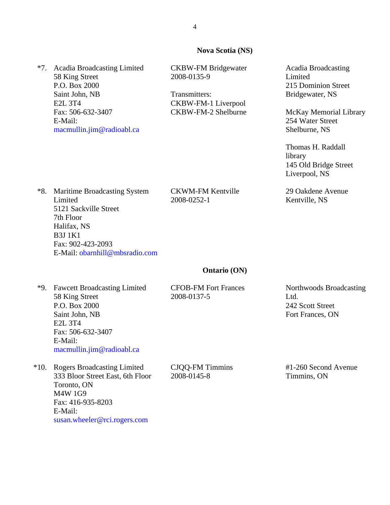### **Nova Scotia (NS)**

\*7. Acadia Broadcasting Limited 58 King Street P.O. Box 2000 Saint John, NB E2L 3T4 Fax: 506-632-3407 E-Mail: [macmullin.jim@radioabl.ca](mailto:macmullin.jim@radioabl.ca)

CKBW-FM Bridgewater 2008-0135-9

Transmitters: CKBW-FM-1 Liverpool CKBW-FM-2 Shelburne

CKWM-FM Kentville

2008-0252-1

Acadia Broadcasting Limited 215 Dominion Street Bridgewater, NS

McKay Memorial Library 254 Water Street Shelburne, NS

Thomas H. Raddall library 145 Old Bridge Street Liverpool, NS

29 Oakdene Avenue Kentville, NS

\*8. Maritime Broadcasting System Limited 5121 Sackville Street 7th Floor Halifax, NS B3J 1K1 Fax: 902-423-2093 E-Mail: [obarnhill@mbsradio.com](mailto:obarnhill@mbsradio.com)

### **Ontario (ON)**

\*9. Fawcett Broadcasting Limited 58 King Street P.O. Box 2000 Saint John, NB E2L 3T4 Fax: 506-632-3407 E-Mail: [macmullin.jim@radioabl.ca](mailto:macmullin.jim@radioabl.ca)

\*10. Rogers Broadcasting Limited 333 Bloor Street East, 6th Floor Toronto, ON M4W 1G9 Fax: 416-935-8203 E-Mail: [susan.wheeler@rci.rogers.com](mailto:susan.wheeler@rci.rogers.com)

CFOB-FM Fort Frances 2008-0137-5

Northwoods Broadcasting Ltd. 242 Scott Street Fort Frances, ON

CJQQ-FM Timmins 2008-0145-8

#1-260 Second Avenue Timmins, ON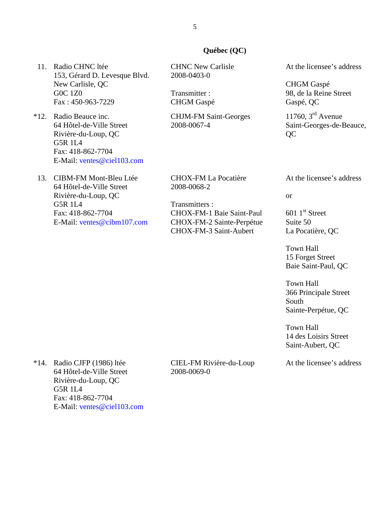# **Québec (QC)**

11. Radio CHNC ltée 153, Gérard D. Levesque Blvd. New Carlisle, QC G0C 1Z0 Fax : 450-963-7229

\*12. Radio Beauce inc. 64 Hôtel-de-Ville Street Rivière-du-Loup, QC G5R 1L4 Fax: 418-862-7704 E-Mail: [ventes@ciel103.com](mailto:ventes@ciel103.com)

13. CIBM-FM Mont-Bleu Ltée 64 Hôtel-de-Ville Street Rivière-du-Loup, QC G5R 1L4 Fax: 418-862-7704 E-Mail: [ventes@cibm107.com](mailto:ventes@cibm107.com)  CHNC New Carlisle 2008-0403-0

Transmitter : CHGM Gaspé

CHJM-FM Saint-Georges 2008-0067-4

CHOX-FM La Pocatière 2008-0068-2

Transmitters : CHOX-FM-1 Baie Saint-Paul CHOX-FM-2 Sainte-Perpétue CHOX-FM-3 Saint-Aubert

At the licensee's address

CHGM Gaspé 98, de la Reine Street Gaspé, QC

11760,  $3<sup>rd</sup>$  Avenue Saint-Georges-de-Beauce, QC

At the licensee's address

or

 $601$  1<sup>st</sup> Street Suite 50 La Pocatière, QC

Town Hall 15 Forget Street Baie Saint-Paul, QC

Town Hall 366 Principale Street South Sainte-Perpétue, QC

Town Hall 14 des Loisirs Street Saint-Aubert, QC

At the licensee's address

\*14. Radio CJFP (1986) ltée 64 Hôtel-de-Ville Street Rivière-du-Loup, QC G5R 1L4 Fax: 418-862-7704 E-Mail: [ventes@ciel103.com](mailto:ventes@ciel103.com)

CIEL-FM Rivière-du-Loup 2008-0069-0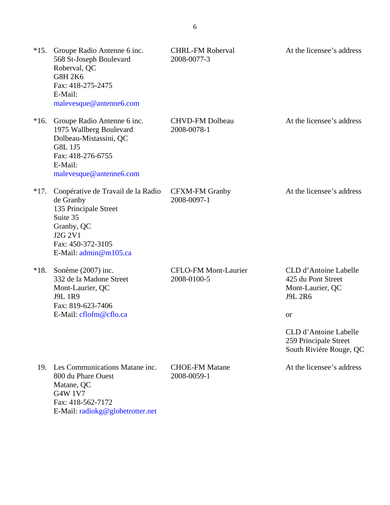| $*15.$ | Groupe Radio Antenne 6 inc.<br>568 St-Joseph Boulevard<br>Roberval, QC<br><b>G8H 2K6</b><br>Fax: 418-275-2475<br>E-Mail:<br>malevesque@antenne6.com           | <b>CHRL-FM Roberval</b><br>2008-0077-3     | At the licensee's address                                                                                                                                                   |
|--------|---------------------------------------------------------------------------------------------------------------------------------------------------------------|--------------------------------------------|-----------------------------------------------------------------------------------------------------------------------------------------------------------------------------|
| $*16.$ | Groupe Radio Antenne 6 inc.<br>1975 Wallberg Boulevard<br>Dolbeau-Mistassini, QC<br><b>G8L 1J5</b><br>Fax: 418-276-6755<br>E-Mail:<br>malevesque@antenne6.com | <b>CHVD-FM Dolbeau</b><br>2008-0078-1      | At the licensee's address                                                                                                                                                   |
| $*17.$ | Coopérative de Travail de la Radio<br>de Granby<br>135 Principale Street<br>Suite 35<br>Granby, QC<br>J2G 2V1<br>Fax: 450-372-3105<br>E-Mail: admin@m105.ca   | <b>CFXM-FM Granby</b><br>2008-0097-1       | At the licensee's address                                                                                                                                                   |
| $*18.$ | Sonème (2007) inc.<br>332 de la Madone Street<br>Mont-Laurier, QC<br><b>J9L 1R9</b><br>Fax: 819-623-7406<br>E-Mail: cflofm@cflo.ca                            | <b>CFLO-FM Mont-Laurier</b><br>2008-0100-5 | CLD d'Antoine Labelle<br>425 du Pont Street<br>Mont-Laurier, QC<br><b>J9L 2R6</b><br><b>or</b><br>CLD d'Antoine Labelle<br>259 Principale Street<br>South Rivière Rouge, QC |
| 19.    | Les Communications Matane inc.<br>800 du Phare Ouest<br>Matane, QC<br><b>G4W 1V7</b><br>Fax: 418-562-7172<br>E-Mail: radiokg@globetrotter.net                 | <b>CHOE-FM Matane</b><br>2008-0059-1       | At the licensee's address                                                                                                                                                   |

6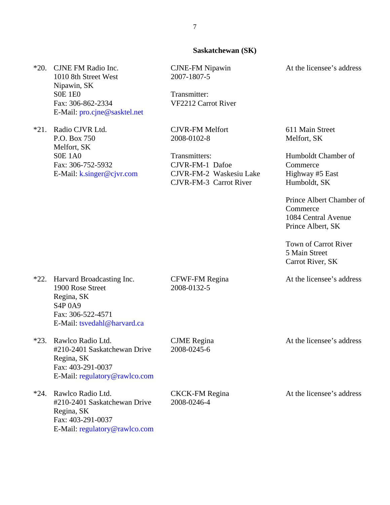### **Saskatchewan (SK)**

\*20. CJNE FM Radio Inc. 1010 8th Street West Nipawin, SK S0E 1E0 Fax: 306-862-2334 E-Mail: [pro.cjne@sasktel.net](mailto:pro.cjne@sasktel.net)

\*21. Radio CJVR Ltd. P.O. Box 750 Melfort, SK S0E 1A0 Fax: 306-752-5932 E-Mail: [k.singer@cjvr.com](mailto:k.singer@cjvr.com) CJNE-FM Nipawin 2007-1807-5

Transmitter: VF2212 Carrot River

CJVR-FM Melfort 2008-0102-8

Transmitters: CJVR-FM-1 Dafoe CJVR-FM-2 Waskesiu Lake CJVR-FM-3 Carrot River

At the licensee's address

611 Main Street Melfort, SK

Humboldt Chamber of **Commerce** Highway #5 East Humboldt, SK

Prince Albert Chamber of Commerce 1084 Central Avenue Prince Albert, SK

Town of Carrot River 5 Main Street Carrot River, SK

At the licensee's address

\*22. Harvard Broadcasting Inc. 1900 Rose Street Regina, SK S4P 0A9 Fax: 306-522-4571 E-Mail: [tsvedahl@harvard.ca](mailto:tsvedahl@harvard.ca)

\*23. Rawlco Radio Ltd. #210-2401 Saskatchewan Drive Regina, SK Fax: 403-291-0037 E-Mail: [regulatory@rawlco.com](mailto:regulatory@rawlco.com)

\*24. Rawlco Radio Ltd. #210-2401 Saskatchewan Drive Regina, SK Fax: 403-291-0037 E-Mail: [regulatory@rawlco.com](mailto:regulatory@rawlco.com) CFWF-FM Regina 2008-0132-5

CJME Regina 2008-0245-6

CKCK-FM Regina 2008-0246-4

At the licensee's address

At the licensee's address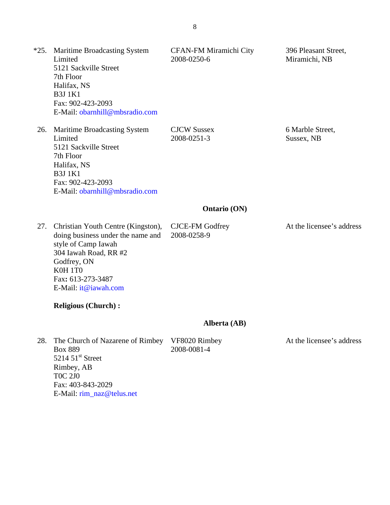| $*25.$ | <b>Maritime Broadcasting System</b><br>Limited<br>5121 Sackville Street<br>7th Floor<br>Halifax, NS<br><b>B3J1K1</b><br>Fax: 902-423-2093<br>E-Mail: obarnhill@mbsradio.com                    | CFAN-FM Miramichi City<br>2008-0250-6 | 396 Pleasant Street,<br>Miramichi, NB |
|--------|------------------------------------------------------------------------------------------------------------------------------------------------------------------------------------------------|---------------------------------------|---------------------------------------|
| 26.    | <b>Maritime Broadcasting System</b><br>Limited<br>5121 Sackville Street<br>7th Floor<br>Halifax, NS<br><b>B3J1K1</b><br>Fax: 902-423-2093<br>E-Mail: obarnhill@mbsradio.com                    | <b>CJCW Sussex</b><br>2008-0251-3     | 6 Marble Street,<br>Sussex, NB        |
|        |                                                                                                                                                                                                | <b>Ontario (ON)</b>                   |                                       |
| 27.    | Christian Youth Centre (Kingston),<br>doing business under the name and<br>style of Camp Iawah<br>304 Iawah Road, RR #2<br>Godfrey, ON<br>K0H 1T0<br>Fax: 613-273-3487<br>E-Mail: it@iawah.com | CJCE-FM Godfrey<br>2008-0258-9        | At the licensee's address             |
|        | <b>Religious (Church):</b>                                                                                                                                                                     |                                       |                                       |
|        |                                                                                                                                                                                                | Alberta (AB)                          |                                       |
| 28.    | The Church of Nazarene of Rimbey<br><b>Box 889</b><br>$5214.51$ <sup>st</sup> Street<br>Rimbey, AB<br><b>TOC 2J0</b><br>Fax: 403-843-2029<br>E-Mail: rim_naz@telus.net                         | VF8020 Rimbey<br>2008-0081-4          | At the licensee's address             |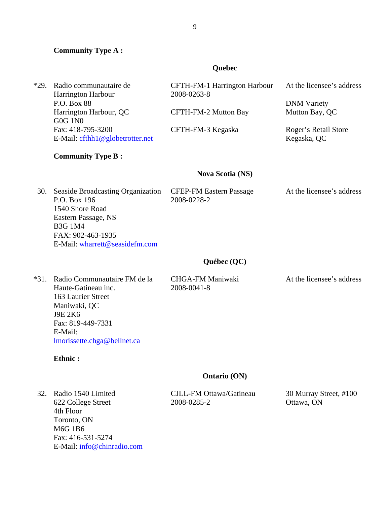# **Community Type A :**

# **Quebec**

| $*29.$ | Radio communautaire de<br>Harrington Harbour<br>P.O. Box 88<br>Harrington Harbour, QC<br><b>G0G 1N0</b><br>Fax: 418-795-3200<br>E-Mail: cfthh1@globetrotter.net<br><b>Community Type B:</b> | CFTH-FM-1 Harrington Harbour<br>2008-0263-8<br>CFTH-FM-2 Mutton Bay<br>CFTH-FM-3 Kegaska | At the licensee's address<br><b>DNM</b> Variety<br>Mutton Bay, QC<br>Roger's Retail Store<br>Kegaska, QC |
|--------|---------------------------------------------------------------------------------------------------------------------------------------------------------------------------------------------|------------------------------------------------------------------------------------------|----------------------------------------------------------------------------------------------------------|
|        |                                                                                                                                                                                             | <b>Nova Scotia (NS)</b>                                                                  |                                                                                                          |
| 30.    | <b>Seaside Broadcasting Organization</b><br>P.O. Box 196<br>1540 Shore Road<br>Eastern Passage, NS<br><b>B3G 1M4</b><br>FAX: 902-463-1935<br>E-Mail: wharrett@seasidefm.com                 | <b>CFEP-FM Eastern Passage</b><br>2008-0228-2                                            | At the licensee's address                                                                                |
|        |                                                                                                                                                                                             | Québec (QC)                                                                              |                                                                                                          |
| $*31.$ | Radio Communautaire FM de la<br>Haute-Gatineau inc.<br>163 Laurier Street<br>Maniwaki, QC<br><b>J9E 2K6</b><br>Fax: 819-449-7331<br>E-Mail:<br>lmorissette.chga@bellnet.ca                  | <b>CHGA-FM Maniwaki</b><br>2008-0041-8                                                   | At the licensee's address                                                                                |
|        | Ethnic:                                                                                                                                                                                     |                                                                                          |                                                                                                          |
|        |                                                                                                                                                                                             | <b>Ontario (ON)</b>                                                                      |                                                                                                          |
| 32.    | Radio 1540 Limited<br>622 College Street<br>4th Floor<br>Toronto, ON<br><b>M6G 1B6</b><br>Fax: 416-531-5274<br>E-Mail: info@chinradio.com                                                   | CJLL-FM Ottawa/Gatineau<br>2008-0285-2                                                   | 30 Murray Street, #100<br>Ottawa, ON                                                                     |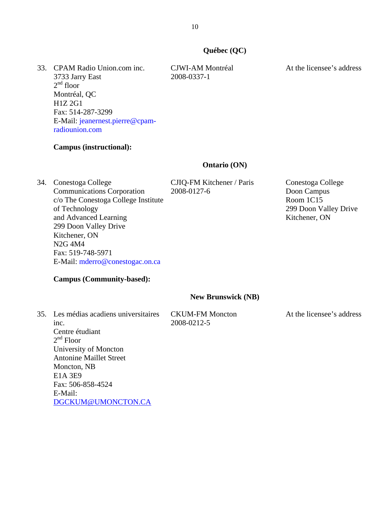# **Québec (QC)**

33. CPAM Radio Union.com inc. 3733 Jarry East  $2<sup>nd</sup>$  floor Montréal, QC H1Z 2G1 Fax: 514-287-3299 E-Mail: [jeanernest.pierre@cpam](mailto:jeanernest.pierre@cpam-radiounion.com)[radiounion.com](mailto:jeanernest.pierre@cpam-radiounion.com)

## **Campus (instructional):**

### **Ontario (ON)**

34. Conestoga College Communications Corporation c/o The Conestoga College Institute of Technology and Advanced Learning 299 Doon Valley Drive Kitchener, ON N2G 4M4 Fax: 519-748-5971 E-Mail: [mderro@conestogac.on.ca](mailto:mderro@conestogac.on.ca)

**Campus (Community-based):** 

CJIQ-FM Kitchener / Paris 2008-0127-6

Conestoga College Doon Campus Room 1C15 299 Doon Valley Drive Kitchener, ON

# **New Brunswick (NB)**

35. Les médias acadiens universitaires inc. Centre étudiant  $2<sup>nd</sup>$  Floor University of Moncton Antonine Maillet Street Moncton, NB E1A 3E9 Fax: 506-858-4524 E-Mail: [DGCKUM@UMONCTON.CA](mailto:DGCKUM@UMONCTON.CA)

CKUM-FM Moncton 2008-0212-5

At the licensee's address

At the licensee's address

CJWI-AM Montréal

2008-0337-1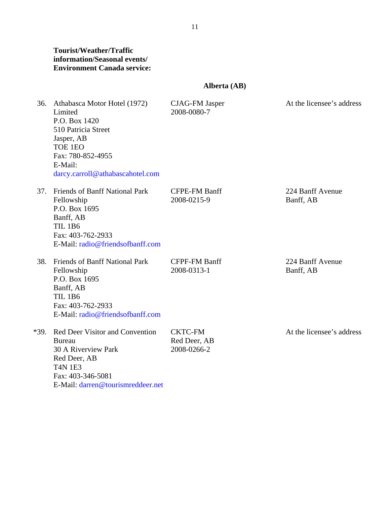# **Tourist/Weather/Traffic information/Seasonal events/ Environment Canada service:**

# **Alberta (AB)**

| 36.  | Athabasca Motor Hotel (1972)<br>Limited<br>P.O. Box 1420<br>510 Patricia Street<br>Jasper, AB<br>TOE 1EO<br>Fax: 780-852-4955<br>E-Mail:<br>darcy.carroll@athabascahotel.com | <b>CJAG-FM Jasper</b><br>2008-0080-7          | At the licensee's address     |
|------|------------------------------------------------------------------------------------------------------------------------------------------------------------------------------|-----------------------------------------------|-------------------------------|
| 37.  | Friends of Banff National Park<br>Fellowship<br>P.O. Box 1695<br>Banff, AB<br><b>TIL 1B6</b><br>Fax: 403-762-2933<br>E-Mail: radio@friendsofbanff.com                        | <b>CFPE-FM Banff</b><br>2008-0215-9           | 224 Banff Avenue<br>Banff, AB |
| 38.  | Friends of Banff National Park<br>Fellowship<br>P.O. Box 1695<br>Banff, AB<br><b>TIL 1B6</b><br>Fax: 403-762-2933<br>E-Mail: radio@friendsofbanff.com                        | <b>CFPF-FM Banff</b><br>2008-0313-1           | 224 Banff Avenue<br>Banff, AB |
| *39. | <b>Red Deer Visitor and Convention</b><br><b>Bureau</b><br>30 A Riverview Park<br>Red Deer, AB<br><b>T4N 1E3</b><br>Fax: 403-346-5081<br>E-Mail: darren@tourismreddeer.net   | <b>CKTC-FM</b><br>Red Deer, AB<br>2008-0266-2 | At the licensee's address     |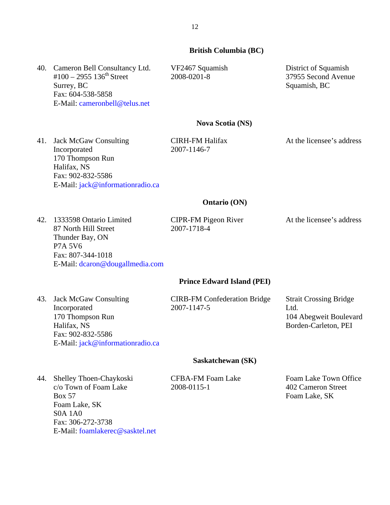### **British Columbia (BC)**

40. Cameron Bell Consultancy Ltd. VF2467 Squamish 2008-0201-8

District of Squamish 37955 Second Avenue Squamish, BC

### **Nova Scotia (NS)**

41. Jack McGaw Consulting Incorporated 170 Thompson Run Halifax, NS Fax: 902-832-5586 E-Mail: [jack@informationradio.ca](mailto:jack@informationradio.ca)

E-Mail: [cameronbell@telus.net](mailto:cameronbell@telus.net)

#100 – 2955 136<sup>th</sup> Street

Fax: 604-538-5858

Surrey, BC

CIRH-FM Halifax 2007-1146-7

At the licensee's address

### **Ontario (ON)**

42. 1333598 Ontario Limited 87 North Hill Street Thunder Bay, ON P7A 5V6 Fax: 807-344-1018 E-Mail: [dcaron@dougallmedia.com](mailto:dcaron@dougallmedia.com) CIPR-FM Pigeon River 2007-1718-4

At the licensee's address

#### **Prince Edward Island (PEI)**

43. Jack McGaw Consulting Incorporated 170 Thompson Run Halifax, NS Fax: 902-832-5586 E-Mail: [jack@informationradio.ca](mailto:jack@informationradio.ca) CIRB-FM Confederation Bridge 2007-1147-5

Strait Crossing Bridge Ltd. 104 Abegweit Boulevard Borden-Carleton, PEI

#### **Saskatchewan (SK)**

44. Shelley Thoen-Chaykoski c/o Town of Foam Lake Box 57 Foam Lake, SK S0A 1A0 Fax: 306-272-3738 E-Mail: [foamlakerec@sasktel.net](mailto:foamlakerec@sasktel.net) CFBA-FM Foam Lake 2008-0115-1

Foam Lake Town Office 402 Cameron Street Foam Lake, SK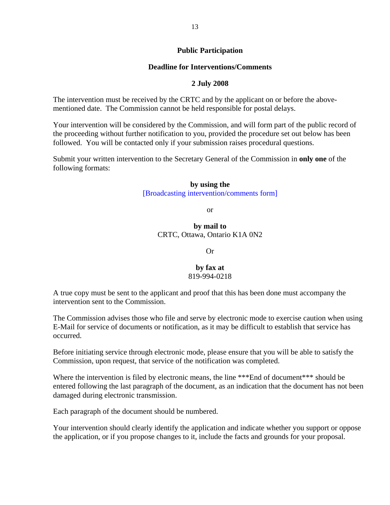# **Public Participation**

# **Deadline for Interventions/Comments**

# **2 July 2008**

The intervention must be received by the CRTC and by the applicant on or before the abovementioned date. The Commission cannot be held responsible for postal delays.

Your intervention will be considered by the Commission, and will form part of the public record of the proceeding without further notification to you, provided the procedure set out below has been followed. You will be contacted only if your submission raises procedural questions.

Submit your written intervention to the Secretary General of the Commission in **only one** of the following formats:

### **by using the**

[\[Broadcasting intervention/comments form\]](http://support.crtc.gc.ca/rapidscin/default.aspx?lang=en&applicant=)

or

**by mail to**  CRTC, Ottawa, Ontario K1A 0N2

Or

# **by fax at**  819-994-0218

A true copy must be sent to the applicant and proof that this has been done must accompany the intervention sent to the Commission.

The Commission advises those who file and serve by electronic mode to exercise caution when using E-Mail for service of documents or notification, as it may be difficult to establish that service has occurred.

Before initiating service through electronic mode, please ensure that you will be able to satisfy the Commission, upon request, that service of the notification was completed.

Where the intervention is filed by electronic means, the line \*\*\*End of document\*\*\* should be entered following the last paragraph of the document, as an indication that the document has not been damaged during electronic transmission.

Each paragraph of the document should be numbered.

Your intervention should clearly identify the application and indicate whether you support or oppose the application, or if you propose changes to it, include the facts and grounds for your proposal.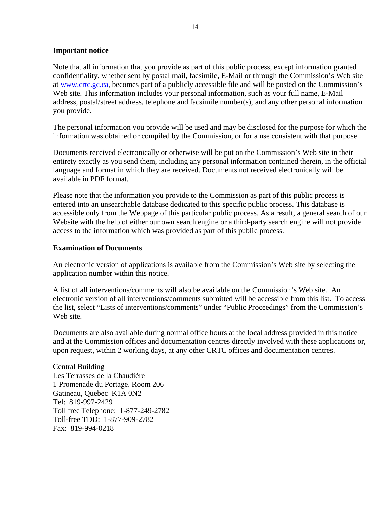### **Important notice**

Note that all information that you provide as part of this public process, except information granted confidentiality, whether sent by postal mail, facsimile, E-Mail or through the Commission's Web site at [www.crtc.gc.ca,](http://www.crtc.gc.ca/) becomes part of a publicly accessible file and will be posted on the Commission's Web site. This information includes your personal information, such as your full name, E-Mail address, postal/street address, telephone and facsimile number(s), and any other personal information you provide.

The personal information you provide will be used and may be disclosed for the purpose for which the information was obtained or compiled by the Commission, or for a use consistent with that purpose.

Documents received electronically or otherwise will be put on the Commission's Web site in their entirety exactly as you send them, including any personal information contained therein, in the official language and format in which they are received. Documents not received electronically will be available in PDF format.

Please note that the information you provide to the Commission as part of this public process is entered into an unsearchable database dedicated to this specific public process. This database is accessible only from the Webpage of this particular public process. As a result, a general search of our Website with the help of either our own search engine or a third-party search engine will not provide access to the information which was provided as part of this public process.

### **Examination of Documents**

An electronic version of applications is available from the Commission's Web site by selecting the application number within this notice.

A list of all interventions/comments will also be available on the Commission's Web site. An electronic version of all interventions/comments submitted will be accessible from this list. To access the list, select "Lists of interventions/comments" under "Public Proceedings" from the Commission's Web site.

Documents are also available during normal office hours at the local address provided in this notice and at the Commission offices and documentation centres directly involved with these applications or, upon request, within 2 working days, at any other CRTC offices and documentation centres.

Central Building Les Terrasses de la Chaudière 1 Promenade du Portage, Room 206 Gatineau, Quebec K1A 0N2 Tel: 819-997-2429 Toll free Telephone: 1-877-249-2782 Toll-free TDD: 1-877-909-2782 Fax: 819-994-0218